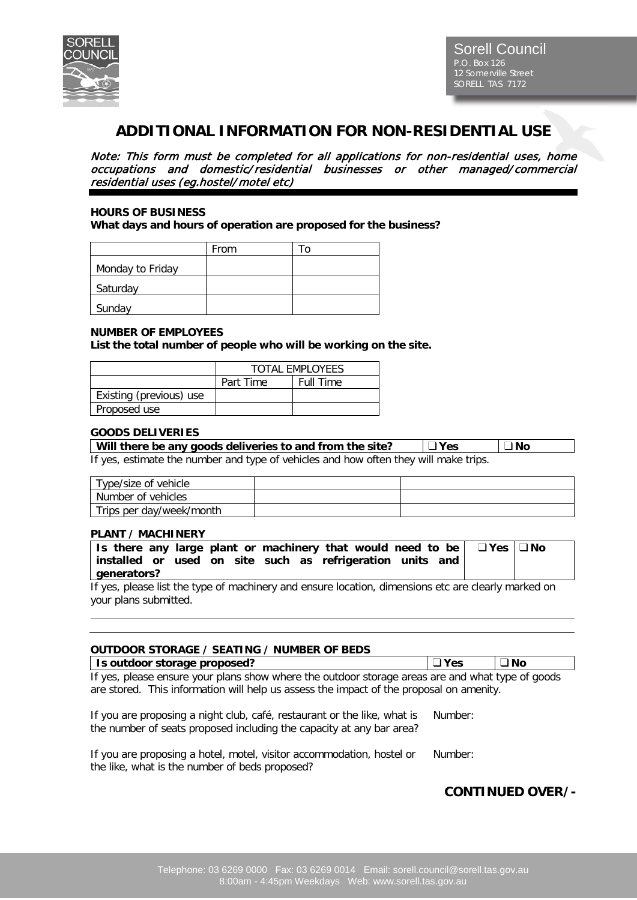

# **ADDITIONAL INFORMATION FOR NON-RESIDENTIAL USE**

Note: This form must be completed for all applications for non-residential uses, home occupations and domestic/residential businesses or other managed/commercial residential uses (eg.hostel/ motel etc)

#### **HOURS OF BUSINESS**

**What days and hours of operation are proposed for the business?**

|                  | From | $\Omega$ |
|------------------|------|----------|
| Monday to Friday |      |          |
| Saturday         |      |          |
| Sunday           |      |          |

#### **NUMBER OF EMPLOYEES**

**List the total number of people who will be working on the site.**

|                         | <b>TOTAL FMPLOYEES</b> |                  |
|-------------------------|------------------------|------------------|
|                         | Part Time              | <b>Full Time</b> |
| Existing (previous) use |                        |                  |
| Proposed use            |                        |                  |

#### **GOODS DELIVERIES**

| Will there be any goods deliveries to and from the site?                           | ∣ ⊟ Yes | ∟ No |
|------------------------------------------------------------------------------------|---------|------|
| If yes estimate the number and type of vehicles and how often they will make trips |         |      |

If yes, estimate the number and type of vehicles and how often they will make trips.

| Tvpe/size of vehicle_    |  |
|--------------------------|--|
| Number of vehicles       |  |
| Trips per day/week/month |  |

#### **PLANT / MACHINERY**

|                                                                                                                                | Is there any large plant or machinery that would need to be $ $ | $\Box$ Yes $ \Box$ No |
|--------------------------------------------------------------------------------------------------------------------------------|-----------------------------------------------------------------|-----------------------|
|                                                                                                                                | installed or used on site such as refrigeration units and       |                       |
| generators?                                                                                                                    |                                                                 |                       |
| $\mathbf{r}$ , and $\mathbf{r}$ , and $\mathbf{r}$ , and $\mathbf{r}$ , and $\mathbf{r}$ , and $\mathbf{r}$ , and $\mathbf{r}$ |                                                                 |                       |

If yes, please list the type of machinery and ensure location, dimensions etc are clearly marked on your plans submitted.

#### **OUTDOOR STORAGE / SEATING / NUMBER OF BEDS Is outdoor storage proposed? Yes No** If yes, please ensure your plans show where the outdoor storage areas are and what type of goods

are stored. This information will help us assess the impact of the proposal on amenity.

| If you are proposing a night club, café, restaurant or the like, what is Number: |  |
|----------------------------------------------------------------------------------|--|
| the number of seats proposed including the capacity at any bar area?             |  |

| If you are proposing a hotel, motel, visitor accommodation, hostel or |  | Number: |
|-----------------------------------------------------------------------|--|---------|
| the like, what is the number of beds proposed?                        |  |         |

# **CONTINUED OVER/-**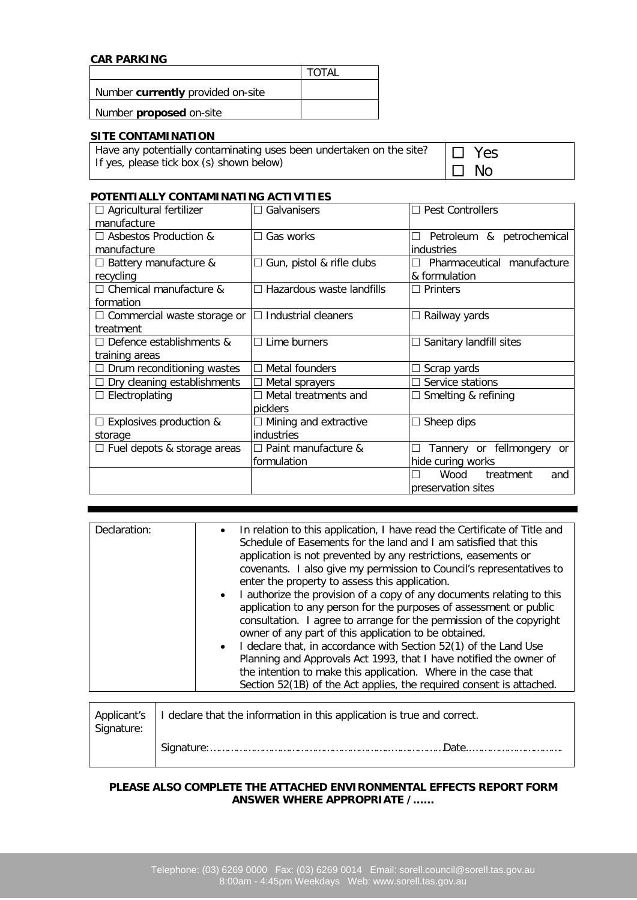## **CAR PARKING**

|                                   | <b>TOTAL</b> |
|-----------------------------------|--------------|
| Number currently provided on-site |              |
| Number <b>proposed</b> on-site    |              |

## **SITE CONTAMINATION**

Have any potentially contaminating uses been undertaken on the site? If yes, please tick box (s) shown below)

| Y<br>Aς |
|---------|
| חוח     |

#### **POTENTIALLY CONTAMINATING ACTIVITIES**

| $\Box$ Agricultural fertilizer     | Galvanisers                      | <b>Pest Controllers</b>             |
|------------------------------------|----------------------------------|-------------------------------------|
| manufacture                        |                                  |                                     |
| $\Box$ Asbestos Production &       | $\Box$ Gas works                 | Petroleum & petrochemical<br>$\Box$ |
| manufacture                        |                                  | industries                          |
| $\Box$ Battery manufacture &       | $\Box$ Gun, pistol & rifle clubs | Pharmaceutical manufacture          |
| recycling                          |                                  | & formulation                       |
| $\Box$ Chemical manufacture &      | $\Box$ Hazardous waste landfills | $\Box$ Printers                     |
| formation                          |                                  |                                     |
| $\Box$ Commercial waste storage or | $\Box$ Industrial cleaners       | □ Railway yards                     |
| treatment                          |                                  |                                     |
| $\Box$ Defence establishments &    | $\Box$ Lime burners              | $\Box$ Sanitary landfill sites      |
| training areas                     |                                  |                                     |
| $\Box$ Drum reconditioning wastes  | Metal founders                   | Scrap yards                         |
| $\Box$ Dry cleaning establishments | $\Box$ Metal sprayers            | Service stations                    |
| $\Box$ Electroplating              | $\Box$ Metal treatments and      | $\Box$ Smelting & refining          |
|                                    | picklers                         |                                     |
| $\Box$ Explosives production &     | $\Box$ Mining and extractive     | Sheep dips<br>$\Box$                |
| storage                            | industries                       |                                     |
| $\Box$ Fuel depots & storage areas | $\Box$ Paint manufacture &       | Tannery or fellmongery<br>.or<br>ΙI |
|                                    | formulation                      | hide curing works                   |
|                                    |                                  | Wood<br>treatment<br>and            |
|                                    |                                  | preservation sites                  |

| In relation to this application, I have read the Certificate of Title and<br>Declaration:<br>$\bullet$<br>Schedule of Easements for the land and I am satisfied that this<br>application is not prevented by any restrictions, easements or<br>covenants. I also give my permission to Council's representatives to<br>enter the property to assess this application.<br>• I authorize the provision of a copy of any documents relating to this<br>application to any person for the purposes of assessment or public<br>consultation. I agree to arrange for the permission of the copyright<br>owner of any part of this application to be obtained.<br>• I declare that, in accordance with Section 52(1) of the Land Use<br>Planning and Approvals Act 1993, that I have notified the owner of<br>the intention to make this application. Where in the case that<br>Section 52(1B) of the Act applies, the required consent is attached. |  |
|-----------------------------------------------------------------------------------------------------------------------------------------------------------------------------------------------------------------------------------------------------------------------------------------------------------------------------------------------------------------------------------------------------------------------------------------------------------------------------------------------------------------------------------------------------------------------------------------------------------------------------------------------------------------------------------------------------------------------------------------------------------------------------------------------------------------------------------------------------------------------------------------------------------------------------------------------|--|

| Signature: | Applicant's   I declare that the information in this application is true and correct. |
|------------|---------------------------------------------------------------------------------------|
|            |                                                                                       |

#### **PLEASE ALSO COMPLETE THE ATTACHED ENVIRONMENTAL EFFECTS REPORT FORM ANSWER WHERE APPROPRIATE /……**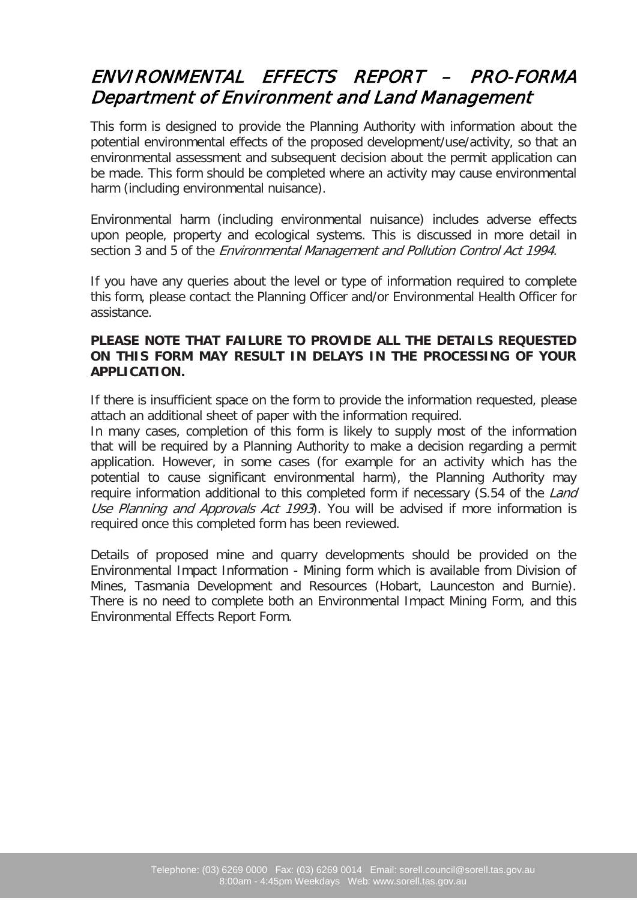# ENVIRONMENTAL EFFECTS REPORT – PRO-FORMA Department of Environment and Land Management

This form is designed to provide the Planning Authority with information about the potential environmental effects of the proposed development/use/activity, so that an environmental assessment and subsequent decision about the permit application can be made. This form should be completed where an activity may cause environmental harm (including environmental nuisance).

Environmental harm (including environmental nuisance) includes adverse effects upon people, property and ecological systems. This is discussed in more detail in section 3 and 5 of the *Environmental Management and Pollution Control Act 1994*.

If you have any queries about the level or type of information required to complete this form, please contact the Planning Officer and/or Environmental Health Officer for assistance.

# **PLEASE NOTE THAT FAILURE TO PROVIDE ALL THE DETAILS REQUESTED ON THIS FORM MAY RESULT IN DELAYS IN THE PROCESSING OF YOUR APPLICATION.**

If there is insufficient space on the form to provide the information requested, please attach an additional sheet of paper with the information required.

In many cases, completion of this form is likely to supply most of the information that will be required by a Planning Authority to make a decision regarding a permit application. However, in some cases (for example for an activity which has the potential to cause significant environmental harm), the Planning Authority may require information additional to this completed form if necessary (S.54 of the Land Use Planning and Approvals Act 1993). You will be advised if more information is required once this completed form has been reviewed.

Details of proposed mine and quarry developments should be provided on the Environmental Impact Information - Mining form which is available from Division of Mines, Tasmania Development and Resources (Hobart, Launceston and Burnie). There is no need to complete both an Environmental Impact Mining Form, and this Environmental Effects Report Form.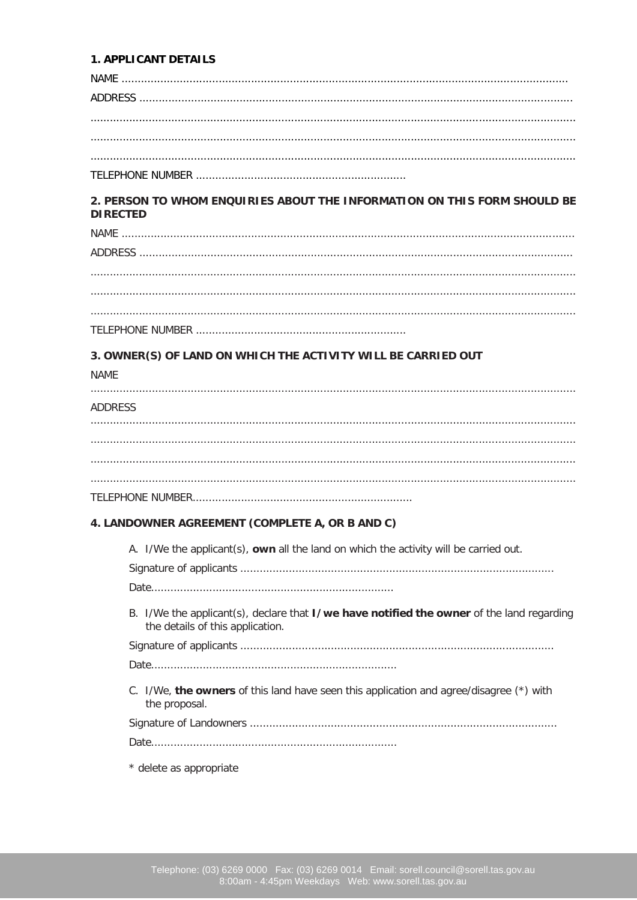#### **1. APPLICANT DETAILS**

 $NAMF$ 

# 

### 2. PERSON TO WHOM ENQUIRIES ABOUT THE INFORMATION ON THIS FORM SHOULD BE **DIRECTED**

#### 3. OWNER(S) OF LAND ON WHICH THE ACTIVITY WILL BE CARRIED OUT

**NAME** 

 $1 - 2 - 22$ 

| ADDRESS |  |  |  |
|---------|--|--|--|
|         |  |  |  |

| ALJERESS |  |  |
|----------|--|--|
|          |  |  |
|          |  |  |
|          |  |  |
|          |  |  |
|          |  |  |

#### 4. LANDOWNER AGREEMENT (COMPLETE A, OR B AND C)

A. I/We the applicant(s), own all the land on which the activity will be carried out.

B. I/We the applicant(s), declare that I/we have notified the owner of the land regarding the details of this application.

C. I/We, the owners of this land have seen this application and agree/disagree (\*) with the proposal.

\* delete as appropriate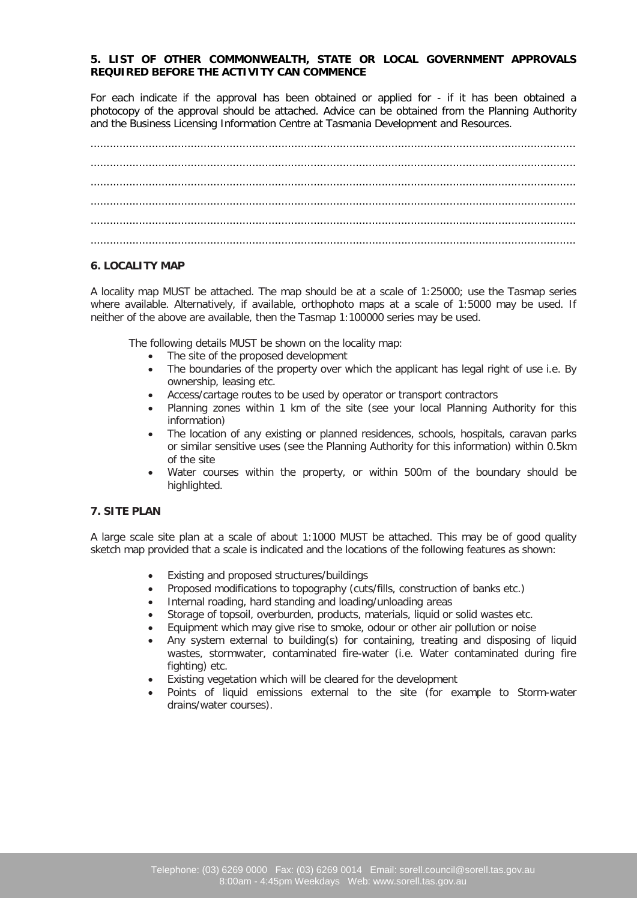#### **5. LIST OF OTHER COMMONWEALTH, STATE OR LOCAL GOVERNMENT APPROVALS REQUIRED BEFORE THE ACTIVITY CAN COMMENCE**

For each indicate if the approval has been obtained or applied for - if it has been obtained a photocopy of the approval should be attached. Advice can be obtained from the Planning Authority and the Business Licensing Information Centre at Tasmania Development and Resources.

#### **6. LOCALITY MAP**

A locality map MUST be attached. The map should be at a scale of 1:25000; use the Tasmap series where available. Alternatively, if available, orthophoto maps at a scale of 1:5000 may be used. If neither of the above are available, then the Tasmap 1:100000 series may be used.

The following details MUST be shown on the locality map:

- The site of the proposed development
- The boundaries of the property over which the applicant has legal right of use i.e. By ownership, leasing etc.
- Access/cartage routes to be used by operator or transport contractors
- Planning zones within 1 km of the site (see your local Planning Authority for this information)
- The location of any existing or planned residences, schools, hospitals, caravan parks or similar sensitive uses (see the Planning Authority for this information) within 0.5km of the site
- Water courses within the property, or within 500m of the boundary should be highlighted.

#### **7. SITE PLAN**

A large scale site plan at a scale of about 1:1000 MUST be attached. This may be of good quality sketch map provided that a scale is indicated and the locations of the following features as shown:

- Existing and proposed structures/buildings
- Proposed modifications to topography (cuts/fills, construction of banks etc.)
- Internal roading, hard standing and loading/unloading areas
- Storage of topsoil, overburden, products, materials, liquid or solid wastes etc.
- Equipment which may give rise to smoke, odour or other air pollution or noise
- Any system external to building(s) for containing, treating and disposing of liquid wastes, stormwater, contaminated fire-water (i.e. Water contaminated during fire fighting) etc.
- Existing vegetation which will be cleared for the development
- Points of liquid emissions external to the site (for example to Storm-water drains/water courses).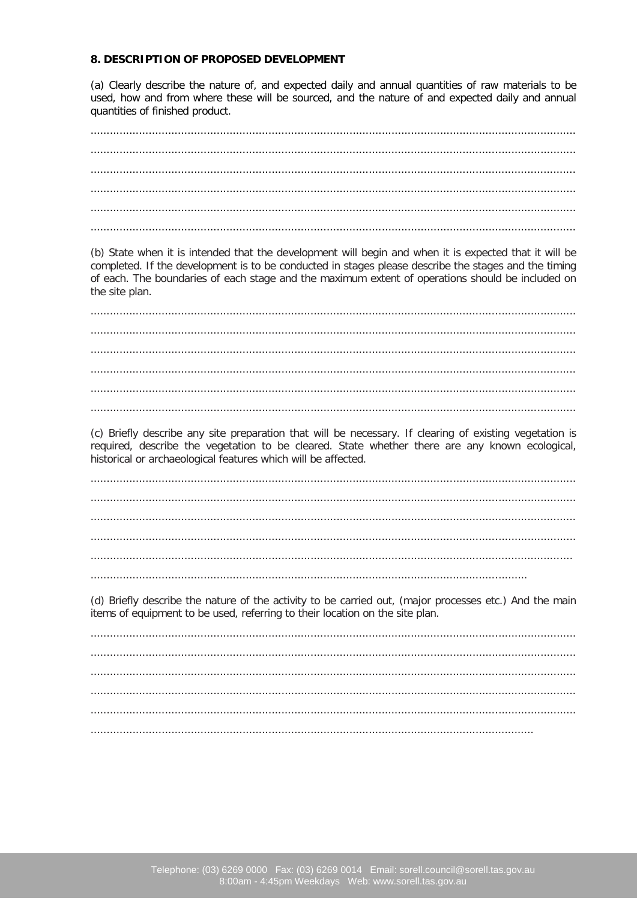#### 8. DESCRIPTION OF PROPOSED DEVELOPMENT

(a) Clearly describe the nature of, and expected daily and annual quantities of raw materials to be used, how and from where these will be sourced, and the nature of and expected daily and annual quantities of finished product.

| (b) State when it is intended that the development will begin and when it is expected that it will be<br>completed. If the development is to be conducted in stages please describe the stages and the timing<br>of each. The boundaries of each stage and the maximum extent of operations should be included on<br>the site plan. |
|-------------------------------------------------------------------------------------------------------------------------------------------------------------------------------------------------------------------------------------------------------------------------------------------------------------------------------------|
|                                                                                                                                                                                                                                                                                                                                     |
|                                                                                                                                                                                                                                                                                                                                     |
|                                                                                                                                                                                                                                                                                                                                     |
|                                                                                                                                                                                                                                                                                                                                     |
| (c) Briefly describe any site preparation that will be necessary. If clearing of existing vegetation is                                                                                                                                                                                                                             |
| required, describe the vegetation to be cleared. State whether there are any known ecological,<br>historical or archaeological features which will be affected.                                                                                                                                                                     |
|                                                                                                                                                                                                                                                                                                                                     |
|                                                                                                                                                                                                                                                                                                                                     |
|                                                                                                                                                                                                                                                                                                                                     |
| (d) Briefly describe the nature of the activity to be carried out, (major processes etc.) And the main<br>items of equipment to be used, referring to their location on the site plan.                                                                                                                                              |
|                                                                                                                                                                                                                                                                                                                                     |
|                                                                                                                                                                                                                                                                                                                                     |
|                                                                                                                                                                                                                                                                                                                                     |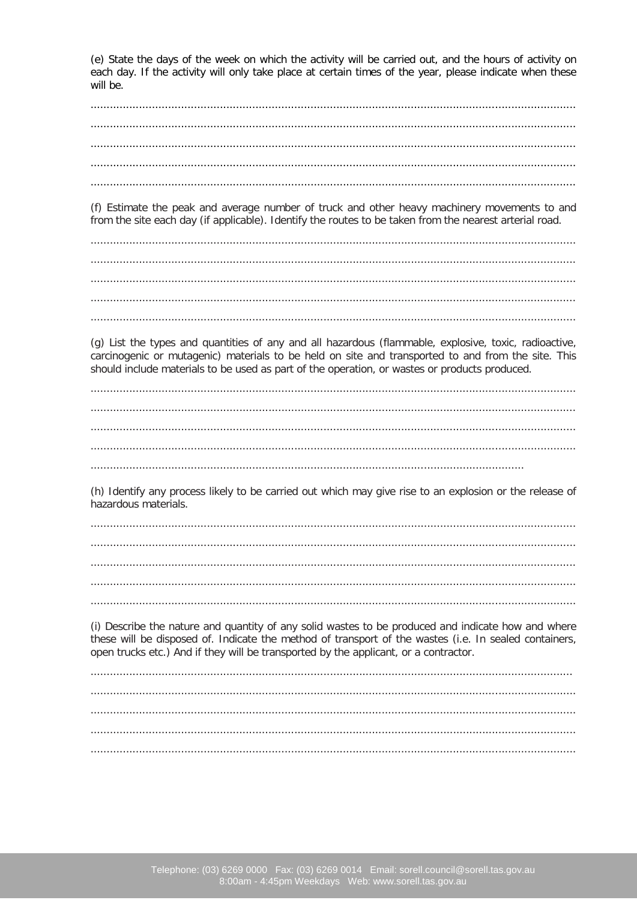(e) State the days of the week on which the activity will be carried out, and the hours of activity on each day. If the activity will only take place at certain times of the year, please indicate when these will be.

(f) Estimate the peak and average number of truck and other heavy machinery movements to and from the site each day (if applicable). Identify the routes to be taken from the nearest arterial road.

(g) List the types and quantities of any and all hazardous (flammable, explosive, toxic, radioactive, carcinogenic or mutagenic) materials to be held on site and transported to and from the site. This should include materials to be used as part of the operation, or wastes or products produced.

(h) Identify any process likely to be carried out which may give rise to an explosion or the release of hazardous materials.

(i) Describe the nature and quantity of any solid wastes to be produced and indicate how and where these will be disposed of. Indicate the method of transport of the wastes (i.e. In sealed containers, open trucks etc.) And if they will be transported by the applicant, or a contractor.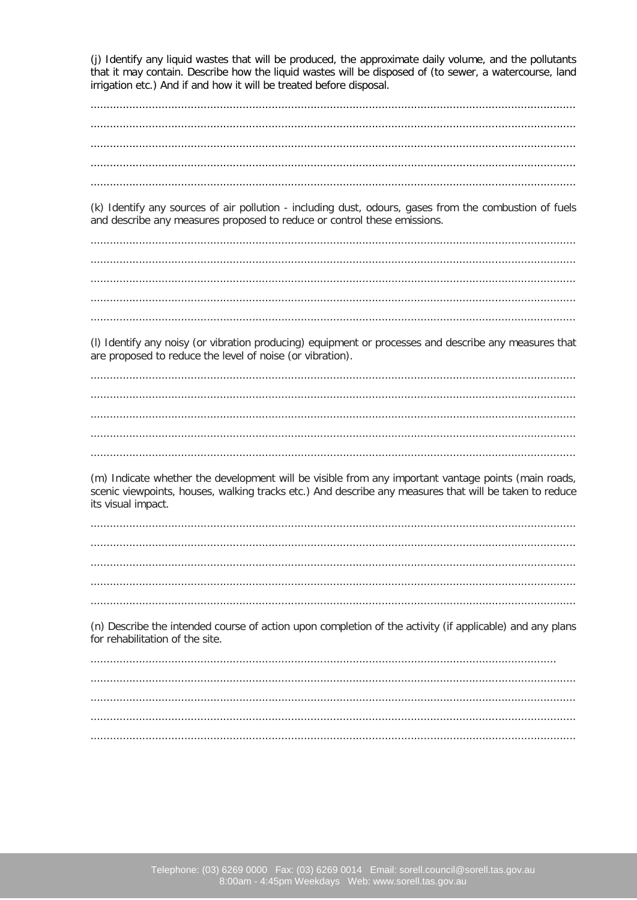(j) Identify any liquid wastes that will be produced, the approximate daily volume, and the pollutants that it may contain. Describe how the liquid wastes will be disposed of (to sewer, a watercourse, land irrigation etc.) And if and how it will be treated before disposal.

(k) Identify any sources of air pollution - including dust, odours, gases from the combustion of fuels and describe any measures proposed to reduce or control these emissions.

(I) Identify any noisy (or vibration producing) equipment or processes and describe any measures that are proposed to reduce the level of noise (or vibration).

(m) Indicate whether the development will be visible from any important vantage points (main roads, scenic viewpoints, houses, walking tracks etc.) And describe any measures that will be taken to reduce its visual impact.

(n) Describe the intended course of action upon completion of the activity (if applicable) and any plans for rehabilitation of the site.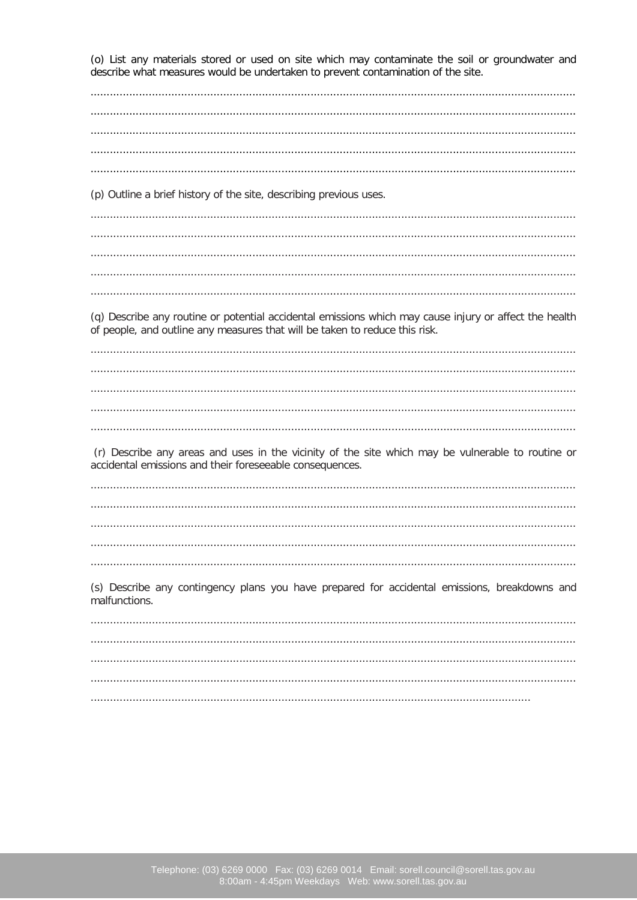(o) List any materials stored or used on site which may contaminate the soil or groundwater and describe what measures would be undertaken to prevent contamination of the site.

(p) Outline a brief history of the site, describing previous uses. 

(q) Describe any routine or potential accidental emissions which may cause injury or affect the health of people, and outline any measures that will be taken to reduce this risk.

(r) Describe any areas and uses in the vicinity of the site which may be vulnerable to routine or accidental emissions and their foreseeable consequences.

(s) Describe any contingency plans you have prepared for accidental emissions, breakdowns and malfunctions.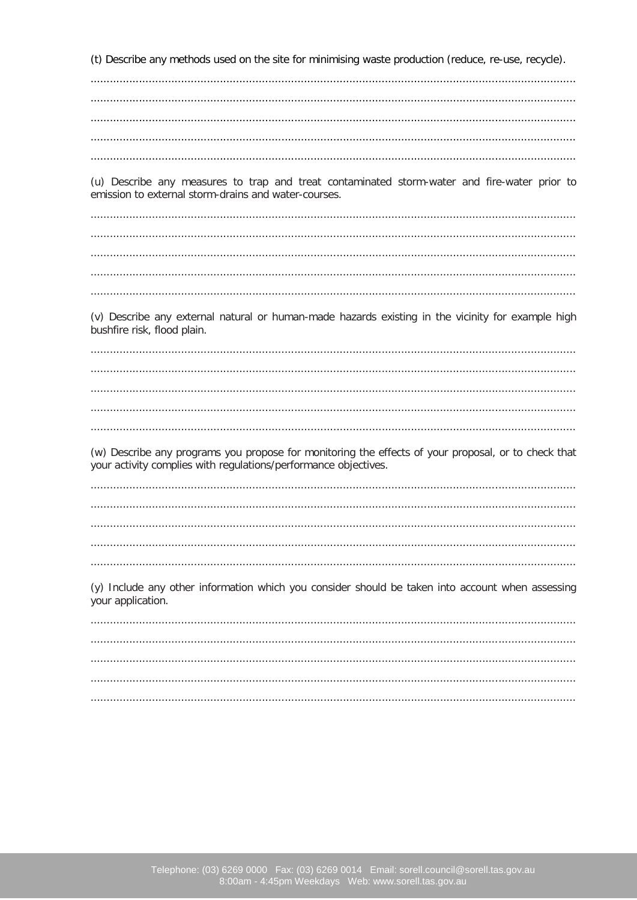(t) Describe any methods used on the site for minimising waste production (reduce, re-use, recycle). 

(u) Describe any measures to trap and treat contaminated storm-water and fire-water prior to emission to external storm-drains and water-courses.

(v) Describe any external natural or human-made hazards existing in the vicinity for example high bushfire risk, flood plain.

(w) Describe any programs you propose for monitoring the effects of your proposal, or to check that your activity complies with regulations/performance objectives.

(y) Include any other information which you consider should be taken into account when assessing your application.